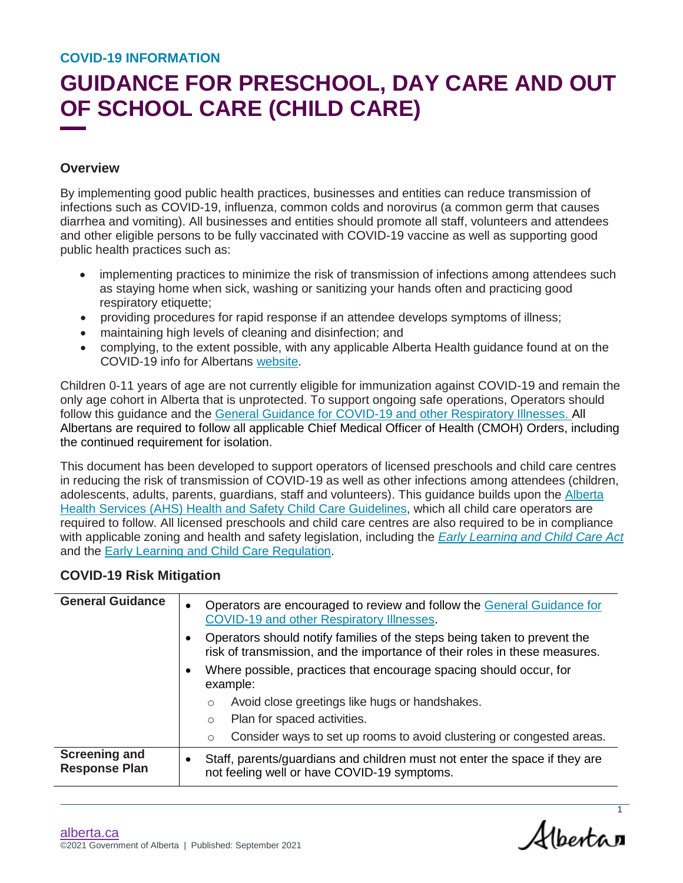### **GUIDANCE FOR PRESCHOOL, DAY CARE AND OUT OF SCHOOL CARE (CHILD CARE)**

#### **Overview**

By implementing good public health practices, businesses and entities can reduce transmission of infections such as COVID-19, influenza, common colds and norovirus (a common germ that causes diarrhea and vomiting). All businesses and entities should promote all staff, volunteers and attendees and other eligible persons to be fully vaccinated with COVID-19 vaccine as well as supporting good public health practices such as:

- implementing practices to minimize the risk of transmission of infections among attendees such as staying home when sick, washing or sanitizing your hands often and practicing good respiratory etiquette;
- providing procedures for rapid response if an attendee develops symptoms of illness;
- maintaining high levels of cleaning and disinfection; and
- complying, to the extent possible, with any applicable Alberta Health guidance found at on the COVID-19 info for Albertans [website.](https://www.alberta.ca/coronavirus-info-for-albertans.aspx)

Children 0-11 years of age are not currently eligible for immunization against COVID-19 and remain the only age cohort in Alberta that is unprotected. To support ongoing safe operations, Operators should follow this guidance and the [General Guidance for COVID-19 and other Respiratory Illnesses.](https://open.alberta.ca/publications/general-guidance-for-covid-19-and-other-respiratory-illnesses) All Albertans are required to follow all applicable Chief Medical Officer of Health (CMOH) Orders, including the continued requirement for isolation.

This document has been developed to support operators of licensed preschools and child care centres in reducing the risk of transmission of COVID-19 as well as other infections among attendees (children, adolescents, adults, parents, guardians, staff and volunteers). This guidance builds upon the [Alberta](http://www.albertahealthservices.ca/assets/wf/eph/wf-eh-health-safety-%20guidlines-child-care-facilities.pdf)  [Health Services \(AHS\) Health and Safety Child Care Guidelines,](http://www.albertahealthservices.ca/assets/wf/eph/wf-eh-health-safety-%20guidlines-child-care-facilities.pdf) which all child care operators are required to follow. All licensed preschools and child care centres are also required to be in compliance with applicable zoning and health and safety legislation, including the *[Early Learning and Child Care Act](https://www.qp.alberta.ca/documents/Acts/E00p1.pdf)* and the [Early Learning and Child Care Regulation.](https://www.qp.alberta.ca/documents/Regs/2008_143.pdf)

#### **COVID-19 Risk Mitigation**

| <b>General Guidance</b>                      | $\bullet$ | Operators are encouraged to review and follow the General Guidance for<br>COVID-19 and other Respiratory Illnesses.                                    |
|----------------------------------------------|-----------|--------------------------------------------------------------------------------------------------------------------------------------------------------|
|                                              | $\bullet$ | Operators should notify families of the steps being taken to prevent the<br>risk of transmission, and the importance of their roles in these measures. |
|                                              | $\bullet$ | Where possible, practices that encourage spacing should occur, for<br>example:                                                                         |
|                                              |           | Avoid close greetings like hugs or handshakes.<br>$\circ$                                                                                              |
|                                              |           | Plan for spaced activities.<br>$\circ$                                                                                                                 |
|                                              |           | Consider ways to set up rooms to avoid clustering or congested areas.<br>$\circ$                                                                       |
| <b>Screening and</b><br><b>Response Plan</b> | $\bullet$ | Staff, parents/guardians and children must not enter the space if they are<br>not feeling well or have COVID-19 symptoms.                              |

Albertan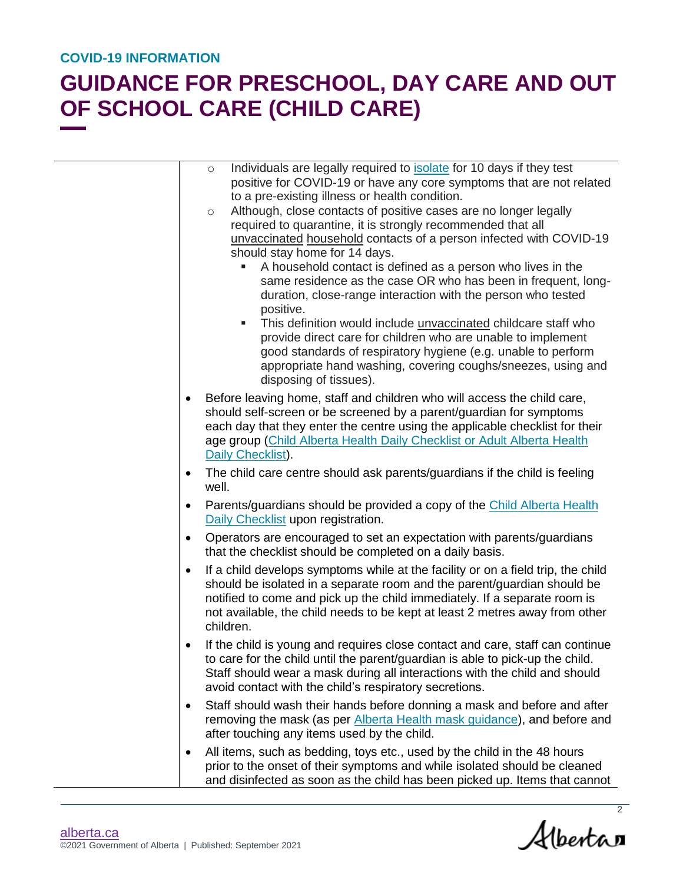|           | Individuals are legally required to <b>isolate</b> for 10 days if they test<br>$\circ$ |
|-----------|----------------------------------------------------------------------------------------|
|           | positive for COVID-19 or have any core symptoms that are not related                   |
|           | to a pre-existing illness or health condition.                                         |
|           | Although, close contacts of positive cases are no longer legally<br>$\circ$            |
|           | required to quarantine, it is strongly recommended that all                            |
|           | unvaccinated household contacts of a person infected with COVID-19                     |
|           | should stay home for 14 days.                                                          |
|           | A household contact is defined as a person who lives in the                            |
|           | same residence as the case OR who has been in frequent, long-                          |
|           | duration, close-range interaction with the person who tested                           |
|           | positive.                                                                              |
|           | This definition would include <i>unvaccinated</i> childcare staff who<br>٠             |
|           | provide direct care for children who are unable to implement                           |
|           | good standards of respiratory hygiene (e.g. unable to perform                          |
|           | appropriate hand washing, covering coughs/sneezes, using and<br>disposing of tissues). |
| ٠         | Before leaving home, staff and children who will access the child care,                |
|           | should self-screen or be screened by a parent/guardian for symptoms                    |
|           | each day that they enter the centre using the applicable checklist for their           |
|           | age group (Child Alberta Health Daily Checklist or Adult Alberta Health                |
|           | Daily Checklist).                                                                      |
| ٠         | The child care centre should ask parents/guardians if the child is feeling<br>well.    |
| ٠         | Parents/guardians should be provided a copy of the Child Alberta Health                |
|           | Daily Checklist upon registration.                                                     |
| $\bullet$ | Operators are encouraged to set an expectation with parents/guardians                  |
|           | that the checklist should be completed on a daily basis.                               |
| $\bullet$ | If a child develops symptoms while at the facility or on a field trip, the child       |
|           | should be isolated in a separate room and the parent/guardian should be                |
|           | notified to come and pick up the child immediately. If a separate room is              |
|           | not available, the child needs to be kept at least 2 metres away from other            |
|           | children.                                                                              |
| ٠         | If the child is young and requires close contact and care, staff can continue          |
|           | to care for the child until the parent/guardian is able to pick-up the child.          |
|           | Staff should wear a mask during all interactions with the child and should             |
|           | avoid contact with the child's respiratory secretions.                                 |
| $\bullet$ | Staff should wash their hands before donning a mask and before and after               |
|           | removing the mask (as per Alberta Health mask guidance), and before and                |
|           | after touching any items used by the child.                                            |
| ٠         | All items, such as bedding, toys etc., used by the child in the 48 hours               |
|           | prior to the onset of their symptoms and while isolated should be cleaned              |
|           | and disinfected as soon as the child has been picked up. Items that cannot             |

 $\overline{\mathcal{A}}$ lbertan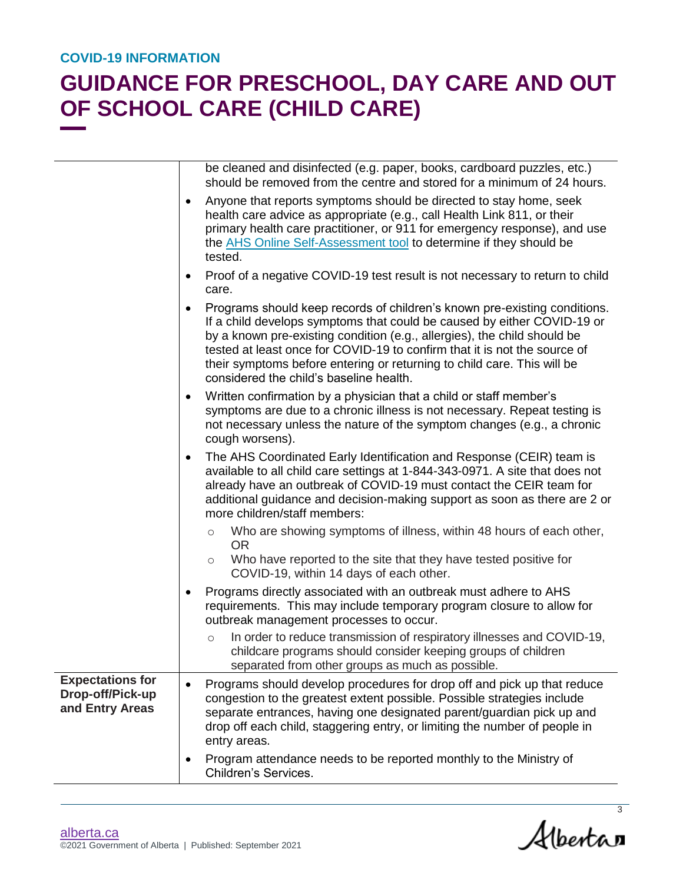|                                                                | be cleaned and disinfected (e.g. paper, books, cardboard puzzles, etc.)<br>should be removed from the centre and stored for a minimum of 24 hours.                                                                                                                                                                                                                                                                                  |
|----------------------------------------------------------------|-------------------------------------------------------------------------------------------------------------------------------------------------------------------------------------------------------------------------------------------------------------------------------------------------------------------------------------------------------------------------------------------------------------------------------------|
|                                                                | Anyone that reports symptoms should be directed to stay home, seek<br>$\bullet$<br>health care advice as appropriate (e.g., call Health Link 811, or their<br>primary health care practitioner, or 911 for emergency response), and use<br>the AHS Online Self-Assessment tool to determine if they should be<br>tested.                                                                                                            |
|                                                                | Proof of a negative COVID-19 test result is not necessary to return to child<br>٠<br>care.                                                                                                                                                                                                                                                                                                                                          |
|                                                                | Programs should keep records of children's known pre-existing conditions.<br>If a child develops symptoms that could be caused by either COVID-19 or<br>by a known pre-existing condition (e.g., allergies), the child should be<br>tested at least once for COVID-19 to confirm that it is not the source of<br>their symptoms before entering or returning to child care. This will be<br>considered the child's baseline health. |
|                                                                | Written confirmation by a physician that a child or staff member's<br>٠<br>symptoms are due to a chronic illness is not necessary. Repeat testing is<br>not necessary unless the nature of the symptom changes (e.g., a chronic<br>cough worsens).                                                                                                                                                                                  |
|                                                                | The AHS Coordinated Early Identification and Response (CEIR) team is<br>٠<br>available to all child care settings at 1-844-343-0971. A site that does not<br>already have an outbreak of COVID-19 must contact the CEIR team for<br>additional guidance and decision-making support as soon as there are 2 or<br>more children/staff members:                                                                                       |
|                                                                | Who are showing symptoms of illness, within 48 hours of each other,<br>$\circ$<br><b>OR</b><br>Who have reported to the site that they have tested positive for<br>$\circ$                                                                                                                                                                                                                                                          |
|                                                                | COVID-19, within 14 days of each other.                                                                                                                                                                                                                                                                                                                                                                                             |
|                                                                | Programs directly associated with an outbreak must adhere to AHS<br>requirements. This may include temporary program closure to allow for<br>outbreak management processes to occur.                                                                                                                                                                                                                                                |
|                                                                | In order to reduce transmission of respiratory illnesses and COVID-19,<br>$\circ$<br>childcare programs should consider keeping groups of children<br>separated from other groups as much as possible.                                                                                                                                                                                                                              |
| <b>Expectations for</b><br>Drop-off/Pick-up<br>and Entry Areas | Programs should develop procedures for drop off and pick up that reduce<br>congestion to the greatest extent possible. Possible strategies include<br>separate entrances, having one designated parent/guardian pick up and<br>drop off each child, staggering entry, or limiting the number of people in<br>entry areas.                                                                                                           |
|                                                                | Program attendance needs to be reported monthly to the Ministry of<br>Children's Services.                                                                                                                                                                                                                                                                                                                                          |

Albertan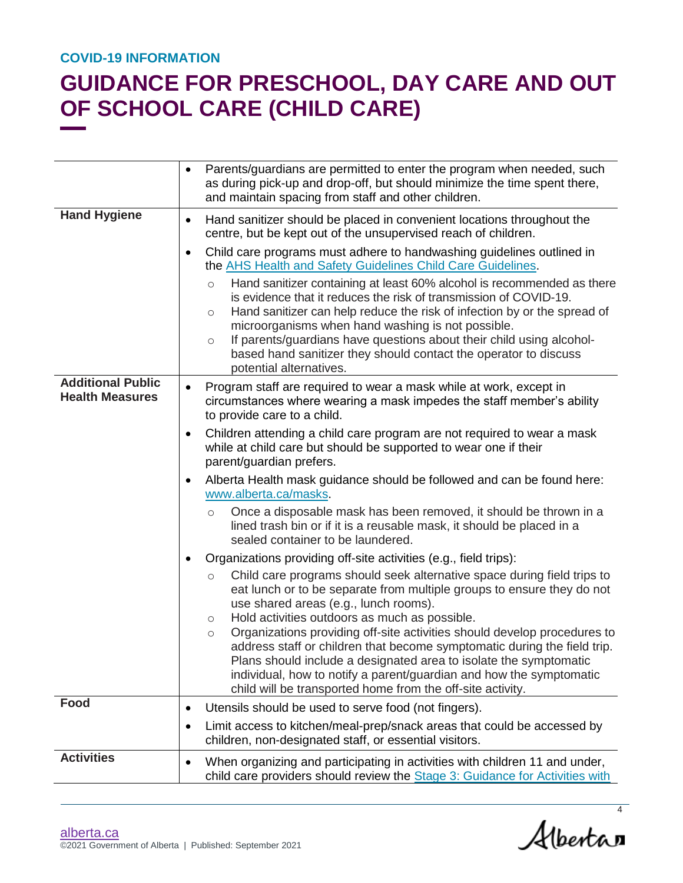|                                                    | Parents/guardians are permitted to enter the program when needed, such<br>$\bullet$<br>as during pick-up and drop-off, but should minimize the time spent there,<br>and maintain spacing from staff and other children.                                                                                                                                                                                                                                                                                                                                                                                                                     |
|----------------------------------------------------|---------------------------------------------------------------------------------------------------------------------------------------------------------------------------------------------------------------------------------------------------------------------------------------------------------------------------------------------------------------------------------------------------------------------------------------------------------------------------------------------------------------------------------------------------------------------------------------------------------------------------------------------|
| <b>Hand Hygiene</b>                                | Hand sanitizer should be placed in convenient locations throughout the<br>$\bullet$<br>centre, but be kept out of the unsupervised reach of children.                                                                                                                                                                                                                                                                                                                                                                                                                                                                                       |
|                                                    | Child care programs must adhere to handwashing guidelines outlined in<br>٠<br>the AHS Health and Safety Guidelines Child Care Guidelines.<br>Hand sanitizer containing at least 60% alcohol is recommended as there<br>$\circ$<br>is evidence that it reduces the risk of transmission of COVID-19.<br>Hand sanitizer can help reduce the risk of infection by or the spread of<br>O<br>microorganisms when hand washing is not possible.<br>If parents/guardians have questions about their child using alcohol-<br>$\circlearrowright$<br>based hand sanitizer they should contact the operator to discuss<br>potential alternatives.     |
| <b>Additional Public</b><br><b>Health Measures</b> | Program staff are required to wear a mask while at work, except in<br>٠<br>circumstances where wearing a mask impedes the staff member's ability<br>to provide care to a child.<br>Children attending a child care program are not required to wear a mask<br>٠                                                                                                                                                                                                                                                                                                                                                                             |
|                                                    | while at child care but should be supported to wear one if their<br>parent/guardian prefers.                                                                                                                                                                                                                                                                                                                                                                                                                                                                                                                                                |
|                                                    | Alberta Health mask guidance should be followed and can be found here:<br>٠<br>www.alberta.ca/masks.                                                                                                                                                                                                                                                                                                                                                                                                                                                                                                                                        |
|                                                    | Once a disposable mask has been removed, it should be thrown in a<br>$\circ$<br>lined trash bin or if it is a reusable mask, it should be placed in a<br>sealed container to be laundered.                                                                                                                                                                                                                                                                                                                                                                                                                                                  |
|                                                    | Organizations providing off-site activities (e.g., field trips):<br>٠                                                                                                                                                                                                                                                                                                                                                                                                                                                                                                                                                                       |
|                                                    | Child care programs should seek alternative space during field trips to<br>$\bigcirc$<br>eat lunch or to be separate from multiple groups to ensure they do not<br>use shared areas (e.g., lunch rooms).<br>Hold activities outdoors as much as possible.<br>O<br>Organizations providing off-site activities should develop procedures to<br>$\circ$<br>address staff or children that become symptomatic during the field trip.<br>Plans should include a designated area to isolate the symptomatic<br>individual, how to notify a parent/guardian and how the symptomatic<br>child will be transported home from the off-site activity. |
| Food                                               | Utensils should be used to serve food (not fingers).<br>٠                                                                                                                                                                                                                                                                                                                                                                                                                                                                                                                                                                                   |
|                                                    | Limit access to kitchen/meal-prep/snack areas that could be accessed by<br>٠<br>children, non-designated staff, or essential visitors.                                                                                                                                                                                                                                                                                                                                                                                                                                                                                                      |
| <b>Activities</b>                                  | When organizing and participating in activities with children 11 and under,<br>٠<br>child care providers should review the Stage 3: Guidance for Activities with                                                                                                                                                                                                                                                                                                                                                                                                                                                                            |

Albertan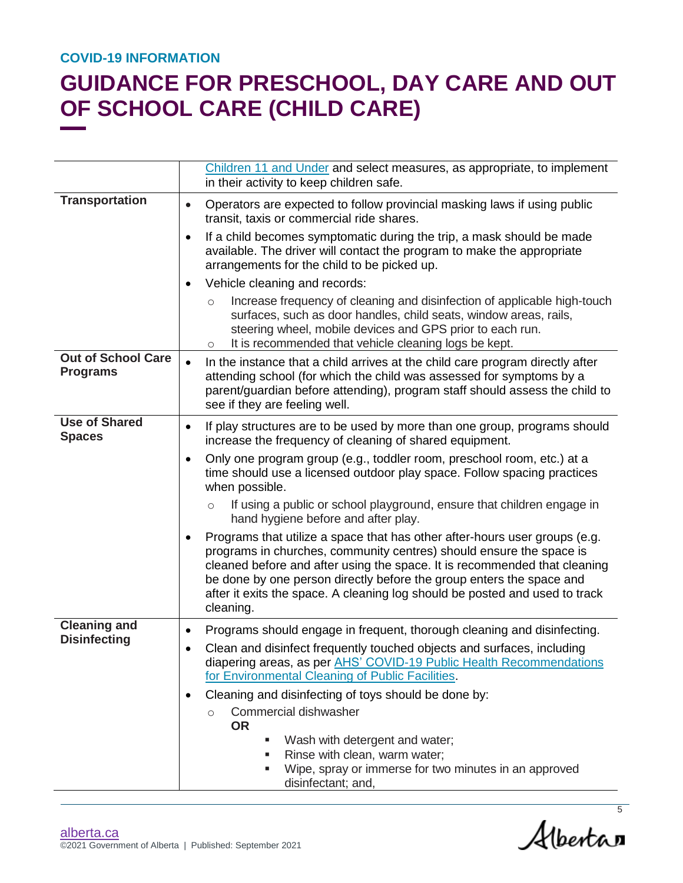|                                              | Children 11 and Under and select measures, as appropriate, to implement                                                                                                                                                                                                                                                                                                                            |
|----------------------------------------------|----------------------------------------------------------------------------------------------------------------------------------------------------------------------------------------------------------------------------------------------------------------------------------------------------------------------------------------------------------------------------------------------------|
|                                              | in their activity to keep children safe.                                                                                                                                                                                                                                                                                                                                                           |
| <b>Transportation</b>                        | Operators are expected to follow provincial masking laws if using public<br>$\bullet$<br>transit, taxis or commercial ride shares.                                                                                                                                                                                                                                                                 |
|                                              | If a child becomes symptomatic during the trip, a mask should be made<br>$\bullet$<br>available. The driver will contact the program to make the appropriate<br>arrangements for the child to be picked up.                                                                                                                                                                                        |
|                                              | Vehicle cleaning and records:                                                                                                                                                                                                                                                                                                                                                                      |
|                                              | Increase frequency of cleaning and disinfection of applicable high-touch<br>$\circ$<br>surfaces, such as door handles, child seats, window areas, rails,<br>steering wheel, mobile devices and GPS prior to each run.<br>It is recommended that vehicle cleaning logs be kept.<br>$\circ$                                                                                                          |
| <b>Out of School Care</b><br><b>Programs</b> | In the instance that a child arrives at the child care program directly after<br>attending school (for which the child was assessed for symptoms by a<br>parent/guardian before attending), program staff should assess the child to<br>see if they are feeling well.                                                                                                                              |
| <b>Use of Shared</b><br><b>Spaces</b>        | If play structures are to be used by more than one group, programs should<br>increase the frequency of cleaning of shared equipment.                                                                                                                                                                                                                                                               |
|                                              | Only one program group (e.g., toddler room, preschool room, etc.) at a<br>time should use a licensed outdoor play space. Follow spacing practices<br>when possible.                                                                                                                                                                                                                                |
|                                              | If using a public or school playground, ensure that children engage in<br>$\circ$<br>hand hygiene before and after play.                                                                                                                                                                                                                                                                           |
|                                              | Programs that utilize a space that has other after-hours user groups (e.g.<br>programs in churches, community centres) should ensure the space is<br>cleaned before and after using the space. It is recommended that cleaning<br>be done by one person directly before the group enters the space and<br>after it exits the space. A cleaning log should be posted and used to track<br>cleaning. |
| <b>Cleaning and</b>                          | Programs should engage in frequent, thorough cleaning and disinfecting.                                                                                                                                                                                                                                                                                                                            |
| <b>Disinfecting</b>                          | Clean and disinfect frequently touched objects and surfaces, including<br>diapering areas, as per AHS' COVID-19 Public Health Recommendations<br>for Environmental Cleaning of Public Facilities.                                                                                                                                                                                                  |
|                                              | Cleaning and disinfecting of toys should be done by:                                                                                                                                                                                                                                                                                                                                               |
|                                              | Commercial dishwasher<br>$\circ$<br><b>OR</b><br>Wash with detergent and water;<br>п<br>Rinse with clean, warm water;                                                                                                                                                                                                                                                                              |
|                                              | Wipe, spray or immerse for two minutes in an approved<br>٠<br>disinfectant; and,                                                                                                                                                                                                                                                                                                                   |

Albertan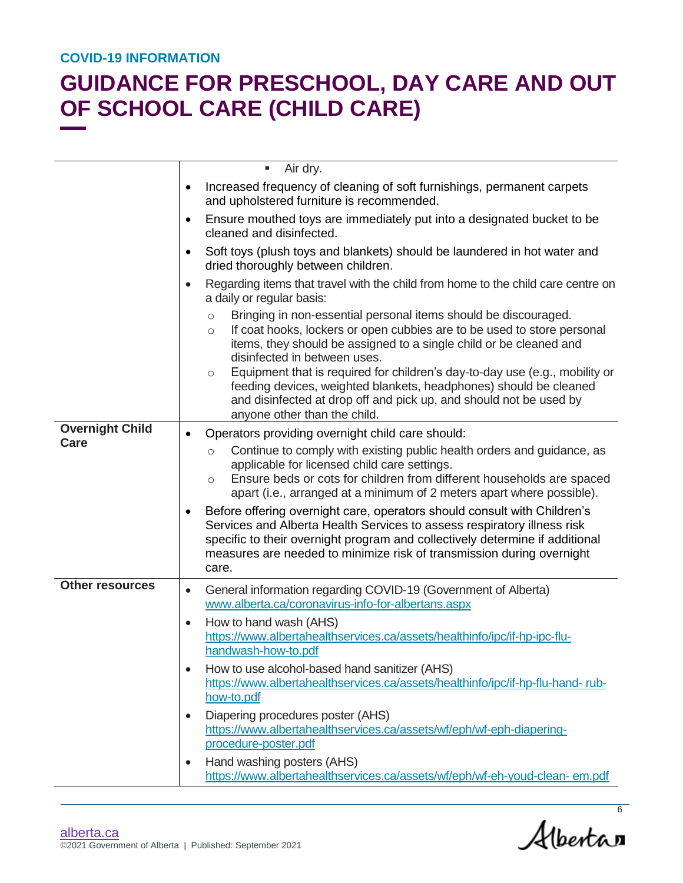|                        | Air dry.<br>ш                                                                                                                                                                                                                                                                                                                                                                                                                                                                                                                               |
|------------------------|---------------------------------------------------------------------------------------------------------------------------------------------------------------------------------------------------------------------------------------------------------------------------------------------------------------------------------------------------------------------------------------------------------------------------------------------------------------------------------------------------------------------------------------------|
|                        | Increased frequency of cleaning of soft furnishings, permanent carpets<br>$\bullet$<br>and upholstered furniture is recommended.                                                                                                                                                                                                                                                                                                                                                                                                            |
|                        | Ensure mouthed toys are immediately put into a designated bucket to be<br>$\bullet$<br>cleaned and disinfected.                                                                                                                                                                                                                                                                                                                                                                                                                             |
|                        | Soft toys (plush toys and blankets) should be laundered in hot water and<br>$\bullet$<br>dried thoroughly between children.                                                                                                                                                                                                                                                                                                                                                                                                                 |
|                        | Regarding items that travel with the child from home to the child care centre on<br>$\bullet$<br>a daily or regular basis:                                                                                                                                                                                                                                                                                                                                                                                                                  |
|                        | Bringing in non-essential personal items should be discouraged.<br>$\circ$<br>If coat hooks, lockers or open cubbies are to be used to store personal<br>$\circ$<br>items, they should be assigned to a single child or be cleaned and<br>disinfected in between uses.<br>Equipment that is required for children's day-to-day use (e.g., mobility or<br>$\circ$<br>feeding devices, weighted blankets, headphones) should be cleaned<br>and disinfected at drop off and pick up, and should not be used by<br>anyone other than the child. |
| <b>Overnight Child</b> | Operators providing overnight child care should:<br>$\bullet$                                                                                                                                                                                                                                                                                                                                                                                                                                                                               |
| <b>Care</b>            | Continue to comply with existing public health orders and guidance, as<br>$\circ$<br>applicable for licensed child care settings.<br>Ensure beds or cots for children from different households are spaced<br>$\circ$<br>apart (i.e., arranged at a minimum of 2 meters apart where possible).                                                                                                                                                                                                                                              |
|                        | Before offering overnight care, operators should consult with Children's<br>$\bullet$<br>Services and Alberta Health Services to assess respiratory illness risk<br>specific to their overnight program and collectively determine if additional<br>measures are needed to minimize risk of transmission during overnight<br>care.                                                                                                                                                                                                          |
| <b>Other resources</b> | General information regarding COVID-19 (Government of Alberta)<br>$\bullet$<br>www.alberta.ca/coronavirus-info-for-albertans.aspx                                                                                                                                                                                                                                                                                                                                                                                                           |
|                        | How to hand wash (AHS)<br>$\bullet$<br>https://www.albertahealthservices.ca/assets/healthinfo/ipc/if-hp-ipc-flu-<br>handwash-how-to.pdf                                                                                                                                                                                                                                                                                                                                                                                                     |
|                        | How to use alcohol-based hand sanitizer (AHS)<br>$\bullet$<br>https://www.albertahealthservices.ca/assets/healthinfo/ipc/if-hp-flu-hand-rub-<br>how-to.pdf                                                                                                                                                                                                                                                                                                                                                                                  |
|                        | Diapering procedures poster (AHS)<br>$\bullet$<br>https://www.albertahealthservices.ca/assets/wf/eph/wf-eph-diapering-<br>procedure-poster.pdf                                                                                                                                                                                                                                                                                                                                                                                              |
|                        | Hand washing posters (AHS)<br>$\bullet$<br>https://www.albertahealthservices.ca/assets/wf/eph/wf-eh-youd-clean-em.pdf                                                                                                                                                                                                                                                                                                                                                                                                                       |

Alberta